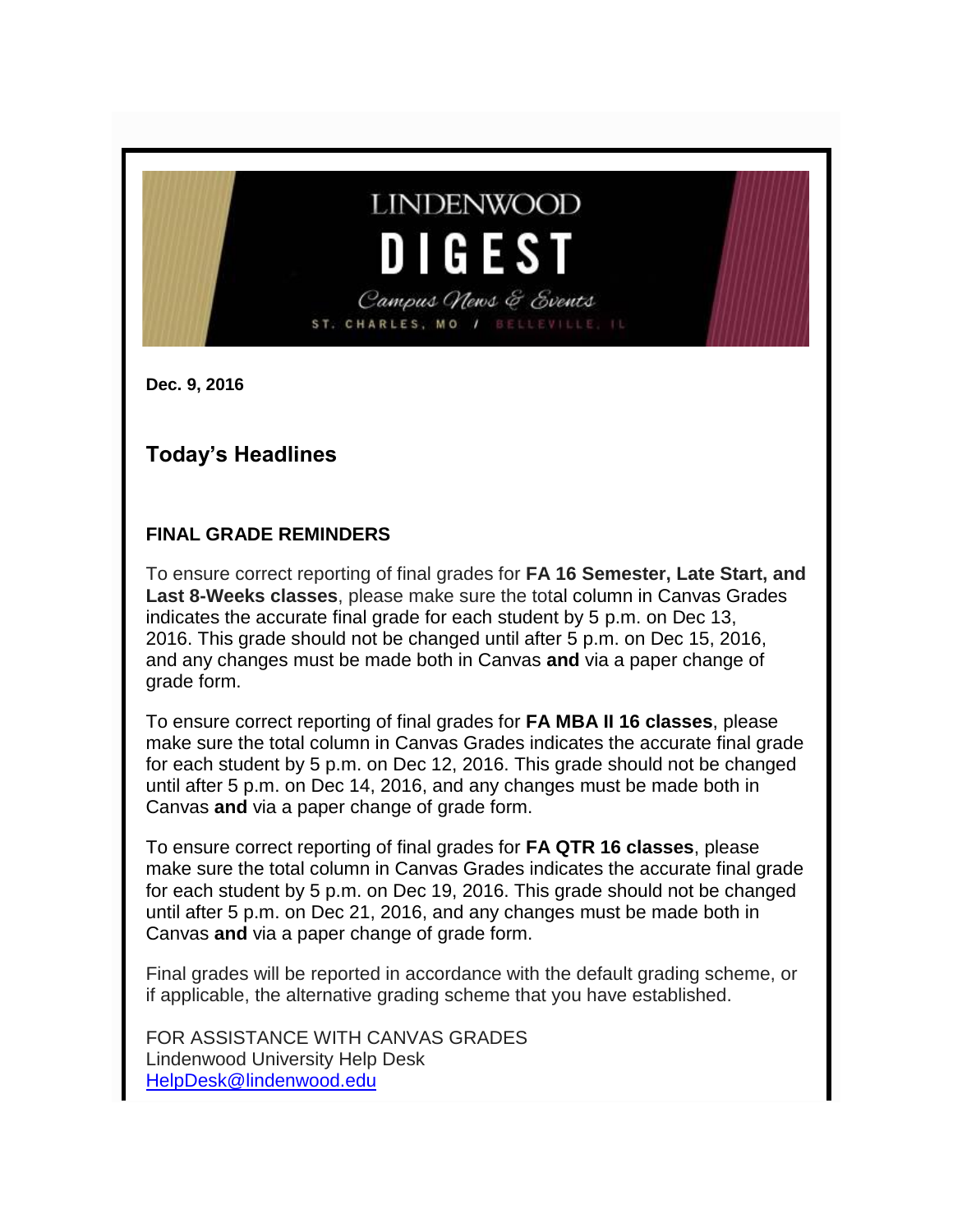# **LINDENWOOD** DIGEST Campus News & Events ST. CHARLES, MO /

**Dec. 9, 2016**

### **Today's Headlines**

### **FINAL GRADE REMINDERS**

To ensure correct reporting of final grades for **FA 16 Semester, Late Start, and Last 8-Weeks classes**, please make sure the total column in Canvas Grades indicates the accurate final grade for each student by 5 p.m. on Dec 13, 2016. This grade should not be changed until after 5 p.m. on Dec 15, 2016, and any changes must be made both in Canvas **and** via a paper change of grade form.

To ensure correct reporting of final grades for **FA MBA II 16 classes**, please make sure the total column in Canvas Grades indicates the accurate final grade for each student by 5 p.m. on Dec 12, 2016. This grade should not be changed until after 5 p.m. on Dec 14, 2016, and any changes must be made both in Canvas **and** via a paper change of grade form.

To ensure correct reporting of final grades for **FA QTR 16 classes**, please make sure the total column in Canvas Grades indicates the accurate final grade for each student by 5 p.m. on Dec 19, 2016. This grade should not be changed until after 5 p.m. on Dec 21, 2016, and any changes must be made both in Canvas **and** via a paper change of grade form.

Final grades will be reported in accordance with the default grading scheme, or if applicable, the alternative grading scheme that you have established.

FOR ASSISTANCE WITH CANVAS GRADES Lindenwood University Help Desk [HelpDesk@lindenwood.edu](mailto:HelpDesk@lindenwood.edu)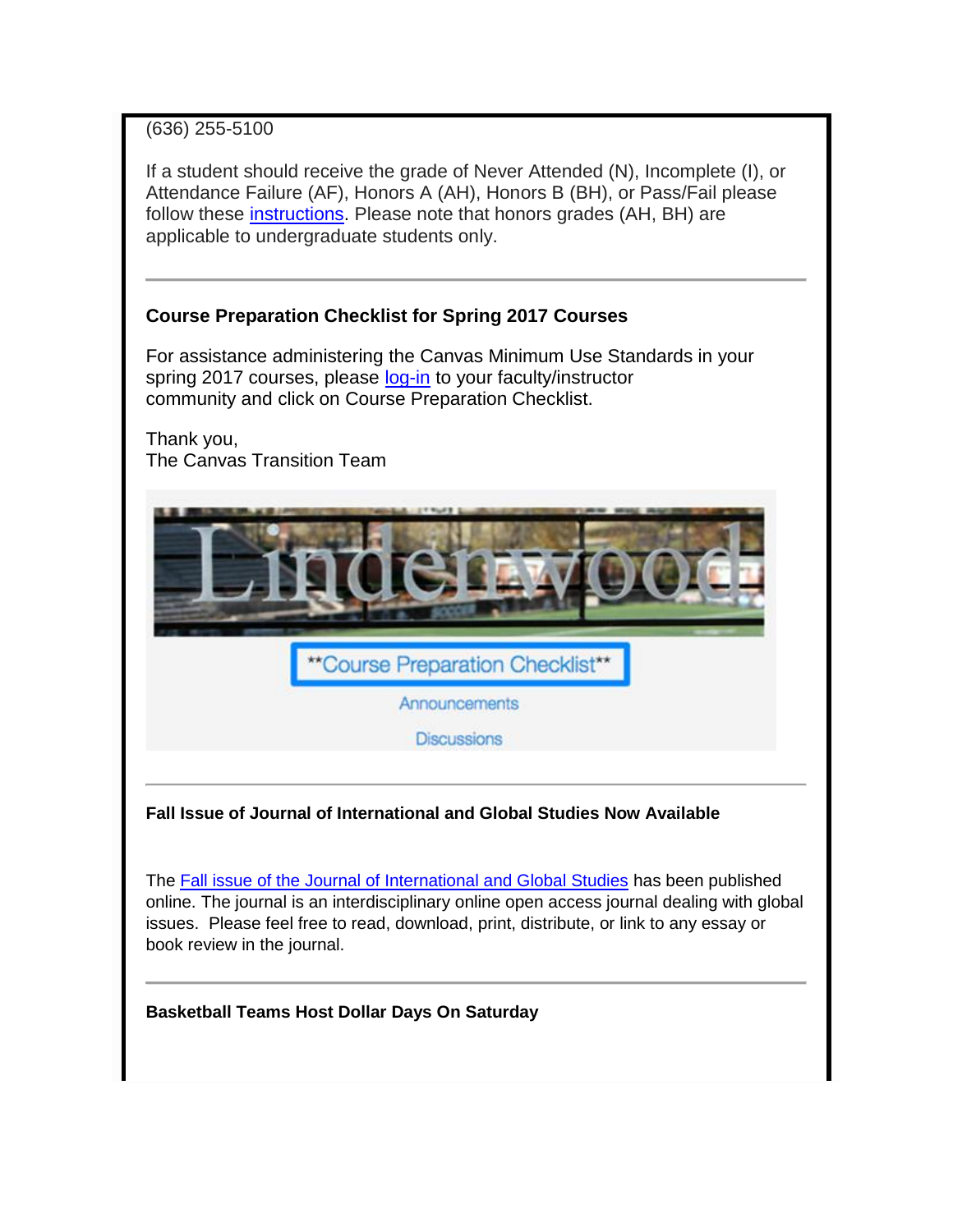### (636) 255-5100

If a student should receive the grade of Never Attended (N), Incomplete (I), or Attendance Failure (AF), Honors A (AH), Honors B (BH), or Pass/Fail please follow these [instructions.](http://felix.lindenwood.edu/newsletter/2016_09/assigning_special_grades_in_canvas.pdf) Please note that honors grades (AH, BH) are applicable to undergraduate students only.

### **Course Preparation Checklist for Spring 2017 Courses**

For assistance administering the Canvas Minimum Use Standards in your spring 2017 courses, please [log-in](http://www.lindenwood.edu/academics/support-resources/information-technology/it-applications/canvas/) to your faculty/instructor community and click on Course Preparation Checklist.

Thank you, The Canvas Transition Team



**Fall Issue of Journal of International and Global Studies Now Available**

The [Fall issue of the Journal of International and Global Studies](http://www.lindenwood.edu/academics/beyond-the-classroom/publications/journal-of-international-global-studies/all-issues/volume-8-number-1/) has been published online. The journal is an interdisciplinary online open access journal dealing with global issues. Please feel free to read, download, print, distribute, or link to any essay or book review in the journal.

**Basketball Teams Host Dollar Days On Saturday**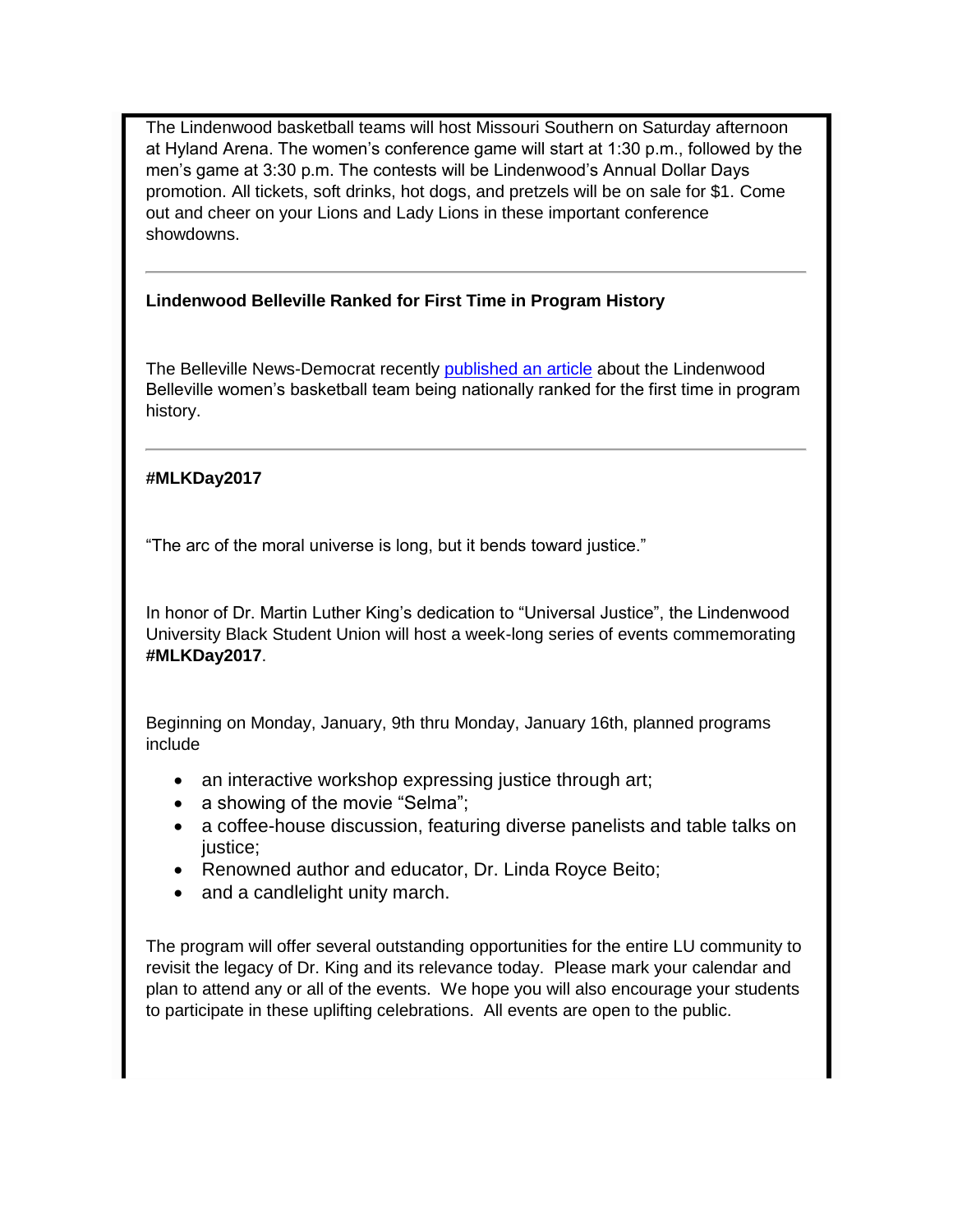The Lindenwood basketball teams will host Missouri Southern on Saturday afternoon at Hyland Arena. The women's conference game will start at 1:30 p.m., followed by the men's game at 3:30 p.m. The contests will be Lindenwood's Annual Dollar Days promotion. All tickets, soft drinks, hot dogs, and pretzels will be on sale for \$1. Come out and cheer on your Lions and Lady Lions in these important conference showdowns.

### **Lindenwood Belleville Ranked for First Time in Program History**

The Belleville News-Democrat recently [published an article](http://www.bnd.com/sports/college/article119330093.html) about the Lindenwood Belleville women's basketball team being nationally ranked for the first time in program history.

### **#MLKDay2017**

"The arc of the moral universe is long, but it bends toward justice."

In honor of Dr. Martin Luther King's dedication to "Universal Justice", the Lindenwood University Black Student Union will host a week-long series of events commemorating **#MLKDay2017**.

Beginning on Monday, January, 9th thru Monday, January 16th, planned programs include

- an interactive workshop expressing justice through art;
- a showing of the movie "Selma";
- a coffee-house discussion, featuring diverse panelists and table talks on justice;
- Renowned author and educator, Dr. Linda Royce Beito;
- and a candlelight unity march.

The program will offer several outstanding opportunities for the entire LU community to revisit the legacy of Dr. King and its relevance today. Please mark your calendar and plan to attend any or all of the events. We hope you will also encourage your students to participate in these uplifting celebrations. All events are open to the public.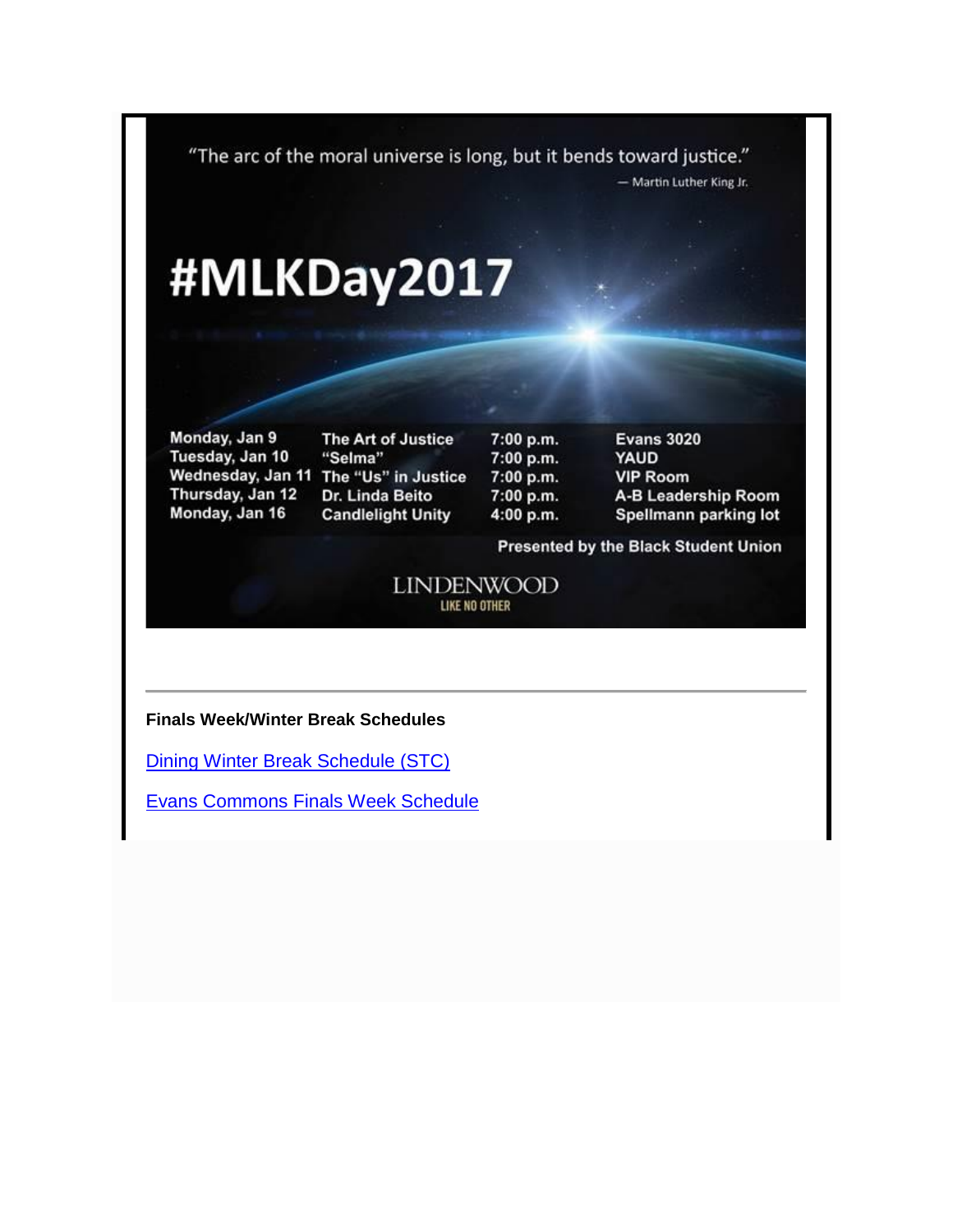"The arc of the moral universe is long, but it bends toward justice."

- Martin Luther King Jr.

# #MLKDay2017

Monday, Jan 9 Tuesday, Jan 10 Thursday, Jan 12 Monday, Jan 16

The Art of Justice "Selma" Wednesday, Jan 11 The "Us" in Justice Dr. Linda Beito **Candlelight Unity** 

7:00 p.m. 7:00 p.m. 7:00 p.m. 7:00 p.m. 4:00 p.m.

**Evans 3020 YAUD VIP Room** A-B Leadership Room Spellmann parking lot

Presented by the Black Student Union

**LINDENWOOD** LIKE NO OTHER

#### **Finals Week/Winter Break Schedules**

[Dining Winter Break Schedule \(STC\)](http://felix.lindenwood.edu/newsletter/2016_12/diningwinterbreakhours.pdf)

[Evans Commons Finals Week Schedule](http://felix.lindenwood.edu/newsletter/2016_12/evansfinalsschedule.pdf)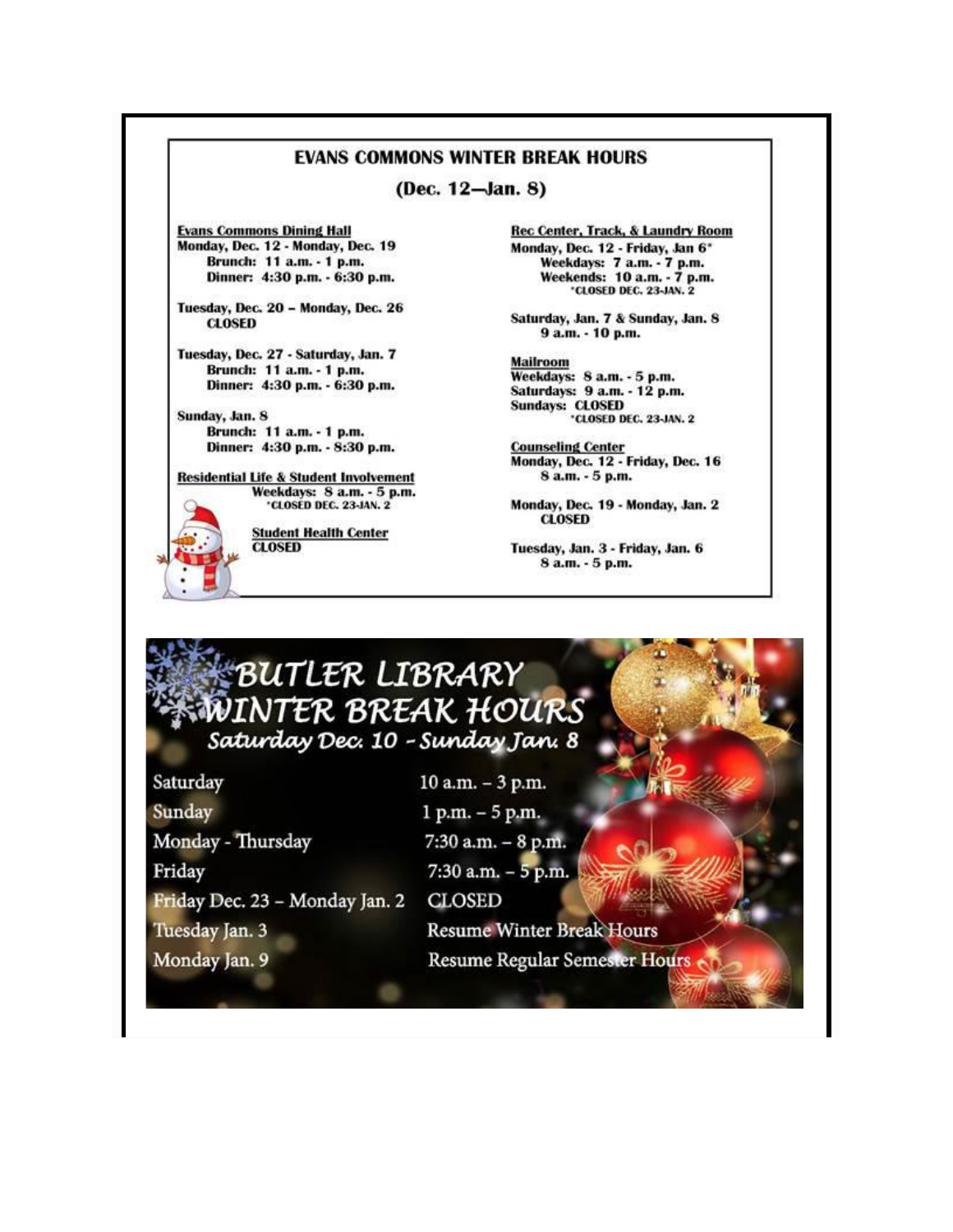### **EVANS COMMONS WINTER BREAK HOURS**

(Dec. 12-Jan. 8)

**Evans Commons Dining Hall** Monday, Dec. 12 - Monday, Dec. 19 Brunch: 11 a.m. - 1 p.m. Dinner: 4:30 p.m. - 6:30 p.m.

Tuesday, Dec. 20 - Monday, Dec. 26 **CLOSED** 

Tuesday, Dec. 27 - Saturday, Jan. 7 Brunch: 11 a.m. - 1 p.m. Dinner: 4:30 p.m. - 6:30 p.m.

Sunday, Jan. 8 Brunch: 11 a.m. - 1 p.m. Dinner: 4:30 p.m. - 8:30 p.m.

**Residential Life & Student Involvement** Weekdays: S a.m. - 5 p.m. **'CLOSED DEC. 23-JAN. 2** 

**Student Health Center CLOSED** 

**Rec Center, Track, & Laundry Room** Monday, Dec. 12 - Friday, Jan 6\* Weekdays: 7 a.m. - 7 p.m. Weekends: 10 a.m. - 7 p.m. \*CLOSED DEC. 23-JAN. 2

Saturday, Jan. 7 & Sunday, Jan. 8 9 a.m. - 10 p.m.

**Mailroom** Weekdays: 8 a.m. - 5 p.m. Saturdays: 9 a.m. - 12 p.m. **Sundays: CLOSED** \*CLOSED DEC. 23-JAN. 2

**Counseling Center** Monday, Dec. 12 - Friday, Dec. 16 8 a.m. - 5 p.m.

Monday, Dec. 19 - Monday, Jan. 2 **CLOSED** 

Tuesday, Jan. 3 - Friday, Jan. 6 8 a.m. - 5 p.m.

# BUTLER LIBRARY **WINTER BREAK HOURS** Saturday Dec. 10 - Sunday Jan. 8

Saturday Sunday Monday - Thursday Friday Friday Dec. 23 - Monday Jan. 2 Tuesday Jan. 3 Monday Jan. 9

 $10 a.m. - 3 p.m.$  $1 p.m. - 5 p.m.$ 7:30 a.m. - 8 p.m. 7:30 a.m. - 5 p.m. **CLOSED Resume Winter Break Hours** Resume Regular Semester Hours